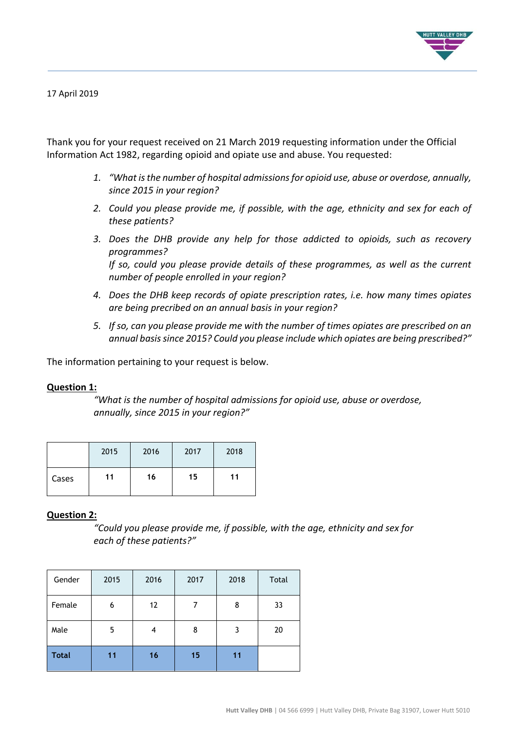

17 April 2019

Thank you for your request received on 21 March 2019 requesting information under the Official Information Act 1982, regarding opioid and opiate use and abuse. You requested:

- *1. "What is the number of hospital admissions for opioid use, abuse or overdose, annually, since 2015 in your region?*
- *2. Could you please provide me, if possible, with the age, ethnicity and sex for each of these patients?*
- *3. Does the DHB provide any help for those addicted to opioids, such as recovery programmes? If so, could you please provide details of these programmes, as well as the current number of people enrolled in your region?*
- *4. Does the DHB keep records of opiate prescription rates, i.e. how many times opiates are being precribed on an annual basis in your region?*
- *5. If so, can you please provide me with the number of times opiates are prescribed on an annual basis since 2015? Could you please include which opiates are being prescribed?"*

The information pertaining to your request is below.

# **Question 1:**

*"What is the number of hospital admissions for opioid use, abuse or overdose, annually, since 2015 in your region?"*

|       | 2015 | 2016 | 2017 | 2018 |
|-------|------|------|------|------|
| Cases | 11   | 16   | 15   | 11   |

# **Question 2:**

*"Could you please provide me, if possible, with the age, ethnicity and sex for each of these patients?"*

| Gender       | 2015 | 2016 | 2017 | 2018 | Total |
|--------------|------|------|------|------|-------|
| Female       | 6    | 12   | 7    | 8    | 33    |
| Male         | 5    | 4    | 8    | 3    | 20    |
| <b>Total</b> | 11   | 16   | 15   | 11   |       |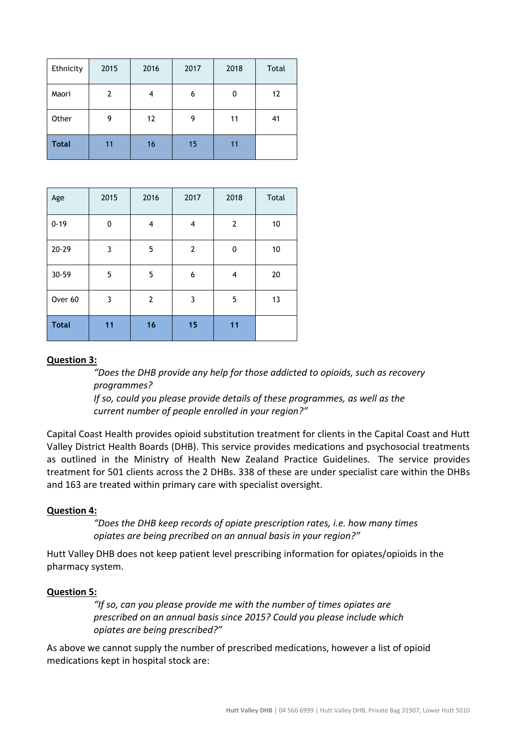| Ethnicity    | 2015 | 2016 | 2017 | 2018 | Total |
|--------------|------|------|------|------|-------|
| Maori        | 2    | 4    | 6    | 0    | 12    |
| Other        | 9    | 12   | 9    | 11   | 41    |
| <b>Total</b> | 11   | 16   | 15   | 11   |       |

| Age          | 2015 | 2016 | 2017 | 2018 | Total |
|--------------|------|------|------|------|-------|
| $0 - 19$     | 0    | 4    | 4    | 2    | 10    |
| $20 - 29$    | 3    | 5    | 2    | 0    | 10    |
| 30-59        | 5    | 5    | 6    | 4    | 20    |
| Over 60      | 3    | 2    | 3    | 5    | 13    |
| <b>Total</b> | 11   | 16   | 15   | 11   |       |

# **Question 3:**

*"Does the DHB provide any help for those addicted to opioids, such as recovery programmes?* 

*If so, could you please provide details of these programmes, as well as the current number of people enrolled in your region?"*

Capital Coast Health provides opioid substitution treatment for clients in the Capital Coast and Hutt Valley District Health Boards (DHB). This service provides medications and psychosocial treatments as outlined in the Ministry of Health New Zealand Practice Guidelines. The service provides treatment for 501 clients across the 2 DHBs. 338 of these are under specialist care within the DHBs and 163 are treated within primary care with specialist oversight.

# **Question 4:**

*"Does the DHB keep records of opiate prescription rates, i.e. how many times opiates are being precribed on an annual basis in your region?"*

Hutt Valley DHB does not keep patient level prescribing information for opiates/opioids in the pharmacy system.

# **Question 5:**

*"If so, can you please provide me with the number of times opiates are prescribed on an annual basis since 2015? Could you please include which opiates are being prescribed?"*

As above we cannot supply the number of prescribed medications, however a list of opioid medications kept in hospital stock are: